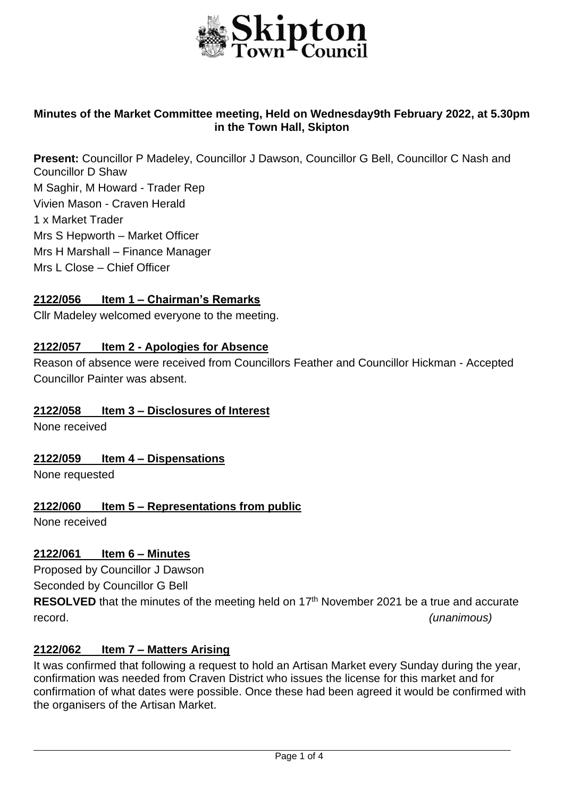

## **Minutes of the Market Committee meeting, Held on Wednesday9th February 2022, at 5.30pm in the Town Hall, Skipton**

**Present:** Councillor P Madeley, Councillor J Dawson, Councillor G Bell, Councillor C Nash and Councillor D Shaw M Saghir, M Howard - Trader Rep Vivien Mason - Craven Herald 1 x Market Trader Mrs S Hepworth – Market Officer Mrs H Marshall – Finance Manager Mrs L Close – Chief Officer

#### **2122/056 Item 1 – Chairman's Remarks**

Cllr Madeley welcomed everyone to the meeting.

#### **2122/057 Item 2 - Apologies for Absence**

Reason of absence were received from Councillors Feather and Councillor Hickman - Accepted Councillor Painter was absent.

#### **2122/058 Item 3 – Disclosures of Interest**

None received

#### **2122/059 Item 4 – Dispensations**

None requested

#### **2122/060 Item 5 – Representations from public**

None received

#### **2122/061 Item 6 – Minutes**

Proposed by Councillor J Dawson

Seconded by Councillor G Bell

RESOLVED that the minutes of the meeting held on 17<sup>th</sup> November 2021 be a true and accurate record. *(unanimous)*

#### **2122/062 Item 7 – Matters Arising**

It was confirmed that following a request to hold an Artisan Market every Sunday during the year, confirmation was needed from Craven District who issues the license for this market and for confirmation of what dates were possible. Once these had been agreed it would be confirmed with the organisers of the Artisan Market.

j.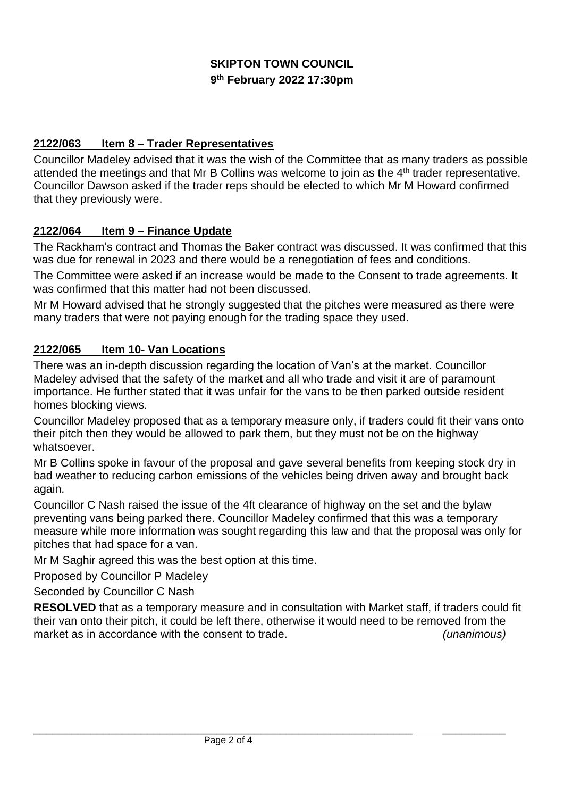# **SKIPTON TOWN COUNCIL 9 th February 2022 17:30pm**

# **2122/063 Item 8 – Trader Representatives**

Councillor Madeley advised that it was the wish of the Committee that as many traders as possible attended the meetings and that Mr B Collins was welcome to join as the 4<sup>th</sup> trader representative. Councillor Dawson asked if the trader reps should be elected to which Mr M Howard confirmed that they previously were.

# **2122/064 Item 9 – Finance Update**

The Rackham's contract and Thomas the Baker contract was discussed. It was confirmed that this was due for renewal in 2023 and there would be a renegotiation of fees and conditions.

The Committee were asked if an increase would be made to the Consent to trade agreements. It was confirmed that this matter had not been discussed.

Mr M Howard advised that he strongly suggested that the pitches were measured as there were many traders that were not paying enough for the trading space they used.

## **2122/065 Item 10- Van Locations**

There was an in-depth discussion regarding the location of Van's at the market. Councillor Madeley advised that the safety of the market and all who trade and visit it are of paramount importance. He further stated that it was unfair for the vans to be then parked outside resident homes blocking views.

Councillor Madeley proposed that as a temporary measure only, if traders could fit their vans onto their pitch then they would be allowed to park them, but they must not be on the highway whatsoever.

Mr B Collins spoke in favour of the proposal and gave several benefits from keeping stock dry in bad weather to reducing carbon emissions of the vehicles being driven away and brought back again.

Councillor C Nash raised the issue of the 4ft clearance of highway on the set and the bylaw preventing vans being parked there. Councillor Madeley confirmed that this was a temporary measure while more information was sought regarding this law and that the proposal was only for pitches that had space for a van.

Mr M Saghir agreed this was the best option at this time.

Proposed by Councillor P Madeley

Seconded by Councillor C Nash

**RESOLVED** that as a temporary measure and in consultation with Market staff, if traders could fit their van onto their pitch, it could be left there, otherwise it would need to be removed from the market as in accordance with the consent to trade.

\_\_\_\_\_\_\_\_\_\_\_\_\_\_\_\_\_\_\_\_\_\_\_\_\_\_\_\_\_\_\_\_\_\_\_\_\_\_\_\_\_\_\_\_\_\_\_\_\_\_\_\_\_\_\_\_\_\_\_\_ \_\_\_\_\_\_\_\_\_\_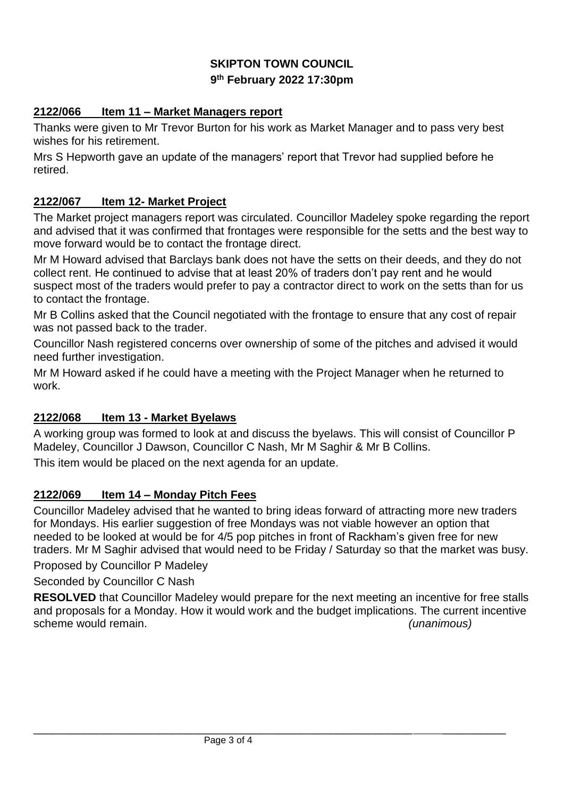# **SKIPTON TOWN COUNCIL 9 th February 2022 17:30pm**

# **2122/066 Item 11 – Market Managers report**

Thanks were given to Mr Trevor Burton for his work as Market Manager and to pass very best wishes for his retirement.

Mrs S Hepworth gave an update of the managers' report that Trevor had supplied before he retired.

# **2122/067 Item 12- Market Project**

The Market project managers report was circulated. Councillor Madeley spoke regarding the report and advised that it was confirmed that frontages were responsible for the setts and the best way to move forward would be to contact the frontage direct.

Mr M Howard advised that Barclays bank does not have the setts on their deeds, and they do not collect rent. He continued to advise that at least 20% of traders don't pay rent and he would suspect most of the traders would prefer to pay a contractor direct to work on the setts than for us to contact the frontage.

Mr B Collins asked that the Council negotiated with the frontage to ensure that any cost of repair was not passed back to the trader.

Councillor Nash registered concerns over ownership of some of the pitches and advised it would need further investigation.

Mr M Howard asked if he could have a meeting with the Project Manager when he returned to work.

## **2122/068 Item 13 - Market Byelaws**

A working group was formed to look at and discuss the byelaws. This will consist of Councillor P Madeley, Councillor J Dawson, Councillor C Nash, Mr M Saghir & Mr B Collins.

This item would be placed on the next agenda for an update.

## **2122/069 Item 14 – Monday Pitch Fees**

Councillor Madeley advised that he wanted to bring ideas forward of attracting more new traders for Mondays. His earlier suggestion of free Mondays was not viable however an option that needed to be looked at would be for 4/5 pop pitches in front of Rackham's given free for new traders. Mr M Saghir advised that would need to be Friday / Saturday so that the market was busy.

Proposed by Councillor P Madeley

Seconded by Councillor C Nash

**RESOLVED** that Councillor Madeley would prepare for the next meeting an incentive for free stalls and proposals for a Monday. How it would work and the budget implications. The current incentive scheme would remain. *(unanimous)*

\_\_\_\_\_\_\_\_\_\_\_\_\_\_\_\_\_\_\_\_\_\_\_\_\_\_\_\_\_\_\_\_\_\_\_\_\_\_\_\_\_\_\_\_\_\_\_\_\_\_\_\_\_\_\_\_\_\_\_\_ \_\_\_\_\_\_\_\_\_\_